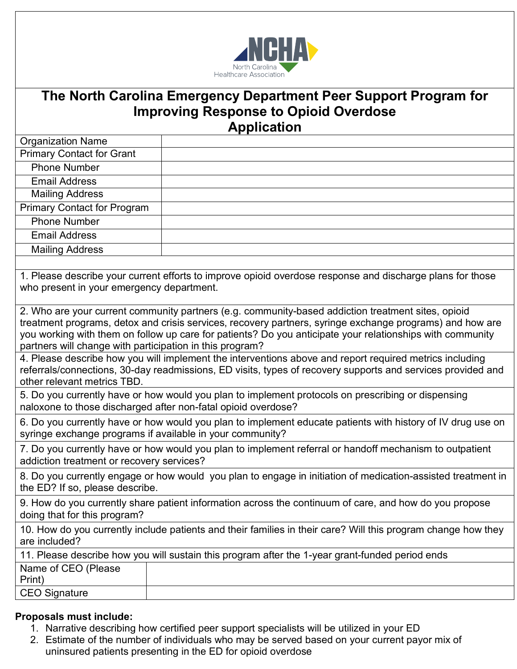

## **The North Carolina Emergency Department Peer Support Program for Improving Response to Opioid Overdose Application**

| <b>Organization Name</b>           |  |
|------------------------------------|--|
| <b>Primary Contact for Grant</b>   |  |
| <b>Phone Number</b>                |  |
| <b>Email Address</b>               |  |
| <b>Mailing Address</b>             |  |
| <b>Primary Contact for Program</b> |  |
| <b>Phone Number</b>                |  |
| <b>Email Address</b>               |  |
| <b>Mailing Address</b>             |  |
|                                    |  |

1. Please describe your current efforts to improve opioid overdose response and discharge plans for those who present in your emergency department.

2. Who are your current community partners (e.g. community-based addiction treatment sites, opioid treatment programs, detox and crisis services, recovery partners, syringe exchange programs) and how are you working with them on follow up care for patients? Do you anticipate your relationships with community partners will change with participation in this program?

4. Please describe how you will implement the interventions above and report required metrics including referrals/connections, 30-day readmissions, ED visits, types of recovery supports and services provided and other relevant metrics TBD.

5. Do you currently have or how would you plan to implement protocols on prescribing or dispensing naloxone to those discharged after non-fatal opioid overdose?

6. Do you currently have or how would you plan to implement educate patients with history of IV drug use on syringe exchange programs if available in your community?

7. Do you currently have or how would you plan to implement referral or handoff mechanism to outpatient addiction treatment or recovery services?

8. Do you currently engage or how would you plan to engage in initiation of medication-assisted treatment in the ED? If so, please describe.

9. How do you currently share patient information across the continuum of care, and how do you propose doing that for this program?

10. How do you currently include patients and their families in their care? Will this program change how they are included?

| 11. Please describe how you will sustain this program after the 1-year grant-funded period ends |  |
|-------------------------------------------------------------------------------------------------|--|
| Name of CEO (Please                                                                             |  |
| Print)                                                                                          |  |
| CEO Signature                                                                                   |  |

## **Proposals must include:**

- 1. Narrative describing how certified peer support specialists will be utilized in your ED
- 2. Estimate of the number of individuals who may be served based on your current payor mix of uninsured patients presenting in the ED for opioid overdose